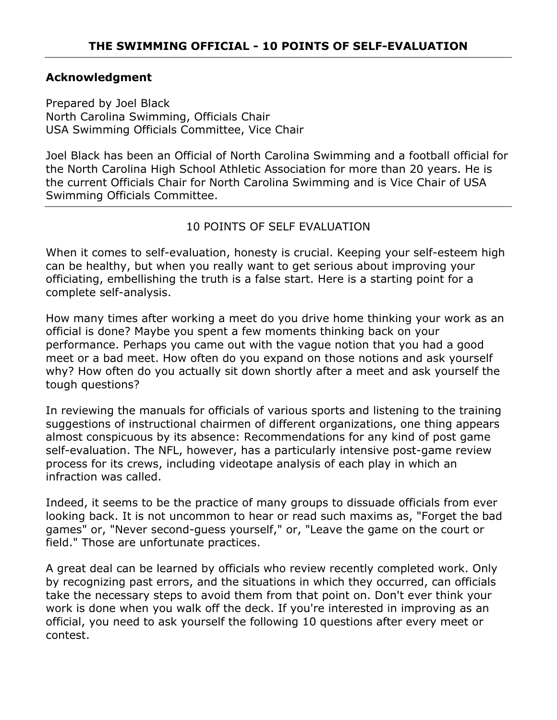#### **Acknowledgment**

Prepared by Joel Black North Carolina Swimming, Officials Chair USA Swimming Officials Committee, Vice Chair

Joel Black has been an Official of North Carolina Swimming and a football official for the North Carolina High School Athletic Association for more than 20 years. He is the current Officials Chair for North Carolina Swimming and is Vice Chair of USA Swimming Officials Committee.

### 10 POINTS OF SELF EVALUATION

When it comes to self-evaluation, honesty is crucial. Keeping your self-esteem high can be healthy, but when you really want to get serious about improving your officiating, embellishing the truth is a false start. Here is a starting point for a complete self-analysis.

How many times after working a meet do you drive home thinking your work as an official is done? Maybe you spent a few moments thinking back on your performance. Perhaps you came out with the vague notion that you had a good meet or a bad meet. How often do you expand on those notions and ask yourself why? How often do you actually sit down shortly after a meet and ask yourself the tough questions?

In reviewing the manuals for officials of various sports and listening to the training suggestions of instructional chairmen of different organizations, one thing appears almost conspicuous by its absence: Recommendations for any kind of post game self-evaluation. The NFL, however, has a particularly intensive post-game review process for its crews, including videotape analysis of each play in which an infraction was called.

Indeed, it seems to be the practice of many groups to dissuade officials from ever looking back. It is not uncommon to hear or read such maxims as, "Forget the bad games" or, "Never second-guess yourself," or, "Leave the game on the court or field." Those are unfortunate practices.

A great deal can be learned by officials who review recently completed work. Only by recognizing past errors, and the situations in which they occurred, can officials take the necessary steps to avoid them from that point on. Don't ever think your work is done when you walk off the deck. If you're interested in improving as an official, you need to ask yourself the following 10 questions after every meet or contest.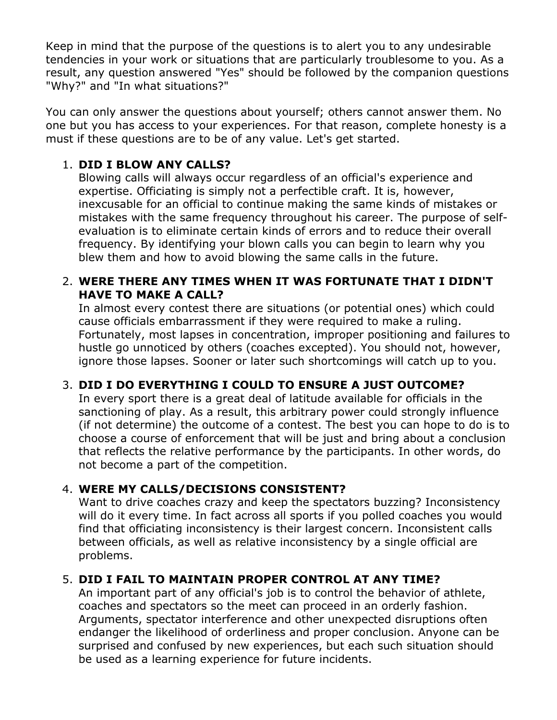Keep in mind that the purpose of the questions is to alert you to any undesirable tendencies in your work or situations that are particularly troublesome to you. As a result, any question answered "Yes" should be followed by the companion questions "Why?" and "In what situations?"

You can only answer the questions about yourself; others cannot answer them. No one but you has access to your experiences. For that reason, complete honesty is a must if these questions are to be of any value. Let's get started.

## 1. **DID I BLOW ANY CALLS?**

Blowing calls will always occur regardless of an official's experience and expertise. Officiating is simply not a perfectible craft. It is, however, inexcusable for an official to continue making the same kinds of mistakes or mistakes with the same frequency throughout his career. The purpose of selfevaluation is to eliminate certain kinds of errors and to reduce their overall frequency. By identifying your blown calls you can begin to learn why you blew them and how to avoid blowing the same calls in the future.

### 2. **WERE THERE ANY TIMES WHEN IT WAS FORTUNATE THAT I DIDN'T HAVE TO MAKE A CALL?**

In almost every contest there are situations (or potential ones) which could cause officials embarrassment if they were required to make a ruling. Fortunately, most lapses in concentration, improper positioning and failures to hustle go unnoticed by others (coaches excepted). You should not, however, ignore those lapses. Sooner or later such shortcomings will catch up to you.

# 3. **DID I DO EVERYTHING I COULD TO ENSURE A JUST OUTCOME?**

In every sport there is a great deal of latitude available for officials in the sanctioning of play. As a result, this arbitrary power could strongly influence (if not determine) the outcome of a contest. The best you can hope to do is to choose a course of enforcement that will be just and bring about a conclusion that reflects the relative performance by the participants. In other words, do not become a part of the competition.

## 4. **WERE MY CALLS/DECISIONS CONSISTENT?**

Want to drive coaches crazy and keep the spectators buzzing? Inconsistency will do it every time. In fact across all sports if you polled coaches you would find that officiating inconsistency is their largest concern. Inconsistent calls between officials, as well as relative inconsistency by a single official are problems.

## 5. **DID I FAIL TO MAINTAIN PROPER CONTROL AT ANY TIME?**

An important part of any official's job is to control the behavior of athlete, coaches and spectators so the meet can proceed in an orderly fashion. Arguments, spectator interference and other unexpected disruptions often endanger the likelihood of orderliness and proper conclusion. Anyone can be surprised and confused by new experiences, but each such situation should be used as a learning experience for future incidents.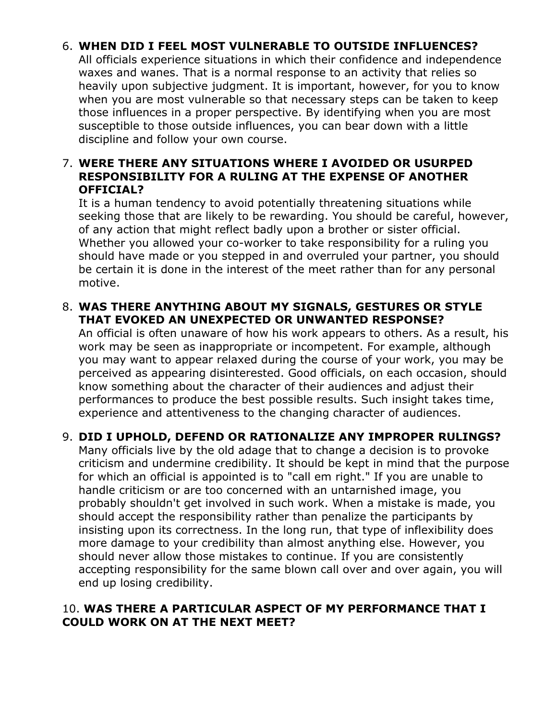## 6. **WHEN DID I FEEL MOST VULNERABLE TO OUTSIDE INFLUENCES?**

All officials experience situations in which their confidence and independence waxes and wanes. That is a normal response to an activity that relies so heavily upon subjective judgment. It is important, however, for you to know when you are most vulnerable so that necessary steps can be taken to keep those influences in a proper perspective. By identifying when you are most susceptible to those outside influences, you can bear down with a little discipline and follow your own course.

### 7. **WERE THERE ANY SITUATIONS WHERE I AVOIDED OR USURPED RESPONSIBILITY FOR A RULING AT THE EXPENSE OF ANOTHER OFFICIAL?**

It is a human tendency to avoid potentially threatening situations while seeking those that are likely to be rewarding. You should be careful, however, of any action that might reflect badly upon a brother or sister official. Whether you allowed your co-worker to take responsibility for a ruling you should have made or you stepped in and overruled your partner, you should be certain it is done in the interest of the meet rather than for any personal motive.

### 8. **WAS THERE ANYTHING ABOUT MY SIGNALS, GESTURES OR STYLE THAT EVOKED AN UNEXPECTED OR UNWANTED RESPONSE?**

An official is often unaware of how his work appears to others. As a result, his work may be seen as inappropriate or incompetent. For example, although you may want to appear relaxed during the course of your work, you may be perceived as appearing disinterested. Good officials, on each occasion, should know something about the character of their audiences and adjust their performances to produce the best possible results. Such insight takes time, experience and attentiveness to the changing character of audiences.

## 9. **DID I UPHOLD, DEFEND OR RATIONALIZE ANY IMPROPER RULINGS?**

Many officials live by the old adage that to change a decision is to provoke criticism and undermine credibility. It should be kept in mind that the purpose for which an official is appointed is to "call em right." If you are unable to handle criticism or are too concerned with an untarnished image, you probably shouldn't get involved in such work. When a mistake is made, you should accept the responsibility rather than penalize the participants by insisting upon its correctness. In the long run, that type of inflexibility does more damage to your credibility than almost anything else. However, you should never allow those mistakes to continue. If you are consistently accepting responsibility for the same blown call over and over again, you will end up losing credibility.

#### 10. **WAS THERE A PARTICULAR ASPECT OF MY PERFORMANCE THAT I COULD WORK ON AT THE NEXT MEET?**